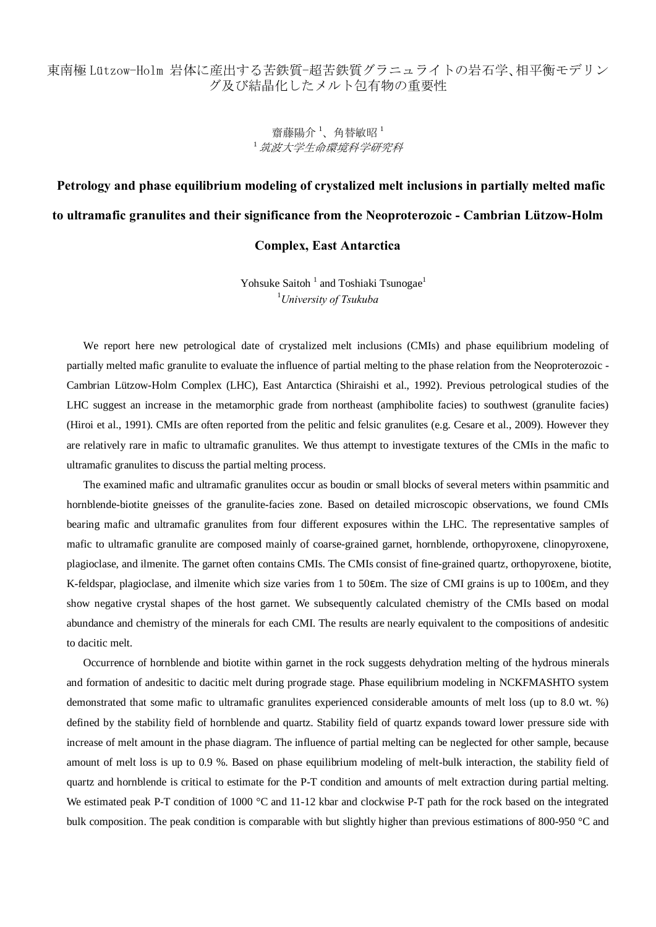## 東南極 Lützow-Holm 岩体に産出する苦鉄質-超苦鉄質グラニュライトの岩石学、相平衡モデリン グ及び結晶化したメルト包有物の重要性

## 齋藤陽介<sup>1</sup>、角替敏昭<sup>1</sup> <sup>1</sup> 筑波大学生命環境科学研究科

# **Petrology and phase equilibrium modeling of crystalized melt inclusions in partially melted mafic to ultramafic granulites and their significance from the Neoproterozoic - Cambrian Lützow-Holm**

### **Complex, East Antarctica**

Yohsuke Saitoh<sup>1</sup> and Toshiaki Tsunogae<sup>1</sup> 1 *University of Tsukuba*

We report here new petrological date of crystalized melt inclusions (CMIs) and phase equilibrium modeling of partially melted mafic granulite to evaluate the influence of partial melting to the phase relation from the Neoproterozoic - Cambrian Lützow-Holm Complex (LHC), East Antarctica (Shiraishi et al., 1992). Previous petrological studies of the LHC suggest an increase in the metamorphic grade from northeast (amphibolite facies) to southwest (granulite facies) (Hiroi et al., 1991). CMIs are often reported from the pelitic and felsic granulites (e.g. Cesare et al., 2009). However they are relatively rare in mafic to ultramafic granulites. We thus attempt to investigate textures of the CMIs in the mafic to ultramafic granulites to discuss the partial melting process.

The examined mafic and ultramafic granulites occur as boudin or small blocks of several meters within psammitic and hornblende-biotite gneisses of the granulite-facies zone. Based on detailed microscopic observations, we found CMIs bearing mafic and ultramafic granulites from four different exposures within the LHC. The representative samples of mafic to ultramafic granulite are composed mainly of coarse-grained garnet, hornblende, orthopyroxene, clinopyroxene, plagioclase, and ilmenite. The garnet often contains CMIs. The CMIs consist of fine-grained quartz, orthopyroxene, biotite, K-feldspar, plagioclase, and ilmenite which size varies from 1 to 50 m. The size of CMI grains is up to 100 m, and they show negative crystal shapes of the host garnet. We subsequently calculated chemistry of the CMIs based on modal abundance and chemistry of the minerals for each CMI. The results are nearly equivalent to the compositions of andesitic to dacitic melt.

Occurrence of hornblende and biotite within garnet in the rock suggests dehydration melting of the hydrous minerals and formation of andesitic to dacitic melt during prograde stage. Phase equilibrium modeling in NCKFMASHTO system demonstrated that some mafic to ultramafic granulites experienced considerable amounts of melt loss (up to 8.0 wt. %) defined by the stability field of hornblende and quartz. Stability field of quartz expands toward lower pressure side with increase of melt amount in the phase diagram. The influence of partial melting can be neglected for other sample, because amount of melt loss is up to 0.9 %. Based on phase equilibrium modeling of melt-bulk interaction, the stability field of quartz and hornblende is critical to estimate for the P-T condition and amounts of melt extraction during partial melting. We estimated peak P-T condition of 1000 °C and 11-12 kbar and clockwise P-T path for the rock based on the integrated bulk composition. The peak condition is comparable with but slightly higher than previous estimations of 800-950 °C and